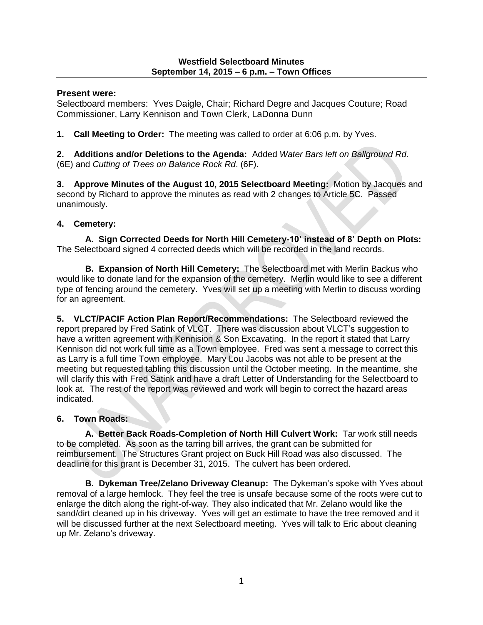#### **Westfield Selectboard Minutes September 14, 2015 – 6 p.m. – Town Offices**

## **Present were:**

Selectboard members: Yves Daigle, Chair; Richard Degre and Jacques Couture; Road Commissioner, Larry Kennison and Town Clerk, LaDonna Dunn

**1. Call Meeting to Order:** The meeting was called to order at 6:06 p.m. by Yves.

**2. Additions and/or Deletions to the Agenda:** Added *Water Bars left on Ballground Rd.* (6E) and *Cutting of Trees on Balance Rock Rd*. (6F)**.**

**3. Approve Minutes of the August 10, 2015 Selectboard Meeting:** Motion by Jacques and second by Richard to approve the minutes as read with 2 changes to Article 5C. Passed unanimously.

# **4. Cemetery:**

**A. Sign Corrected Deeds for North Hill Cemetery-10' instead of 8' Depth on Plots:**  The Selectboard signed 4 corrected deeds which will be recorded in the land records.

**B. Expansion of North Hill Cemetery:** The Selectboard met with Merlin Backus who would like to donate land for the expansion of the cemetery. Merlin would like to see a different type of fencing around the cemetery. Yves will set up a meeting with Merlin to discuss wording for an agreement.

**5. VLCT/PACIF Action Plan Report/Recommendations:** The Selectboard reviewed the report prepared by Fred Satink of VLCT. There was discussion about VLCT's suggestion to have a written agreement with Kennision & Son Excavating. In the report it stated that Larry Kennison did not work full time as a Town employee. Fred was sent a message to correct this as Larry is a full time Town employee. Mary Lou Jacobs was not able to be present at the meeting but requested tabling this discussion until the October meeting. In the meantime, she will clarify this with Fred Satink and have a draft Letter of Understanding for the Selectboard to look at. The rest of the report was reviewed and work will begin to correct the hazard areas indicated.

# **6. Town Roads:**

**A. Better Back Roads-Completion of North Hill Culvert Work:** Tar work still needs to be completed. As soon as the tarring bill arrives, the grant can be submitted for reimbursement. The Structures Grant project on Buck Hill Road was also discussed. The deadline for this grant is December 31, 2015. The culvert has been ordered.

**B. Dykeman Tree/Zelano Driveway Cleanup:** The Dykeman's spoke with Yves about removal of a large hemlock. They feel the tree is unsafe because some of the roots were cut to enlarge the ditch along the right-of-way. They also indicated that Mr. Zelano would like the sand/dirt cleaned up in his driveway. Yves will get an estimate to have the tree removed and it will be discussed further at the next Selectboard meeting. Yves will talk to Eric about cleaning up Mr. Zelano's driveway.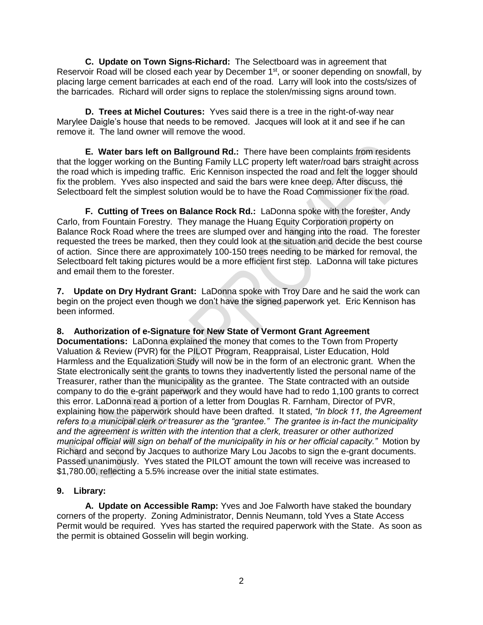**C. Update on Town Signs-Richard:** The Selectboard was in agreement that Reservoir Road will be closed each year by December 1<sup>st</sup>, or sooner depending on snowfall, by placing large cement barricades at each end of the road. Larry will look into the costs/sizes of the barricades. Richard will order signs to replace the stolen/missing signs around town.

**D. Trees at Michel Coutures:** Yves said there is a tree in the right-of-way near Marylee Daigle's house that needs to be removed. Jacques will look at it and see if he can remove it. The land owner will remove the wood.

**E. Water bars left on Ballground Rd.:** There have been complaints from residents that the logger working on the Bunting Family LLC property left water/road bars straight across the road which is impeding traffic. Eric Kennison inspected the road and felt the logger should fix the problem. Yves also inspected and said the bars were knee deep. After discuss, the Selectboard felt the simplest solution would be to have the Road Commissioner fix the road.

**F. Cutting of Trees on Balance Rock Rd.:** LaDonna spoke with the forester, Andy Carlo, from Fountain Forestry. They manage the Huang Equity Corporation property on Balance Rock Road where the trees are slumped over and hanging into the road. The forester requested the trees be marked, then they could look at the situation and decide the best course of action. Since there are approximately 100-150 trees needing to be marked for removal, the Selectboard felt taking pictures would be a more efficient first step. LaDonna will take pictures and email them to the forester.

**7. Update on Dry Hydrant Grant:** LaDonna spoke with Troy Dare and he said the work can begin on the project even though we don't have the signed paperwork yet. Eric Kennison has been informed.

## **8. Authorization of e-Signature for New State of Vermont Grant Agreement**

**Documentations:** LaDonna explained the money that comes to the Town from Property Valuation & Review (PVR) for the PILOT Program, Reappraisal, Lister Education, Hold Harmless and the Equalization Study will now be in the form of an electronic grant. When the State electronically sent the grants to towns they inadvertently listed the personal name of the Treasurer, rather than the municipality as the grantee. The State contracted with an outside company to do the e-grant paperwork and they would have had to redo 1,100 grants to correct this error. LaDonna read a portion of a letter from Douglas R. Farnham, Director of PVR, explaining how the paperwork should have been drafted. It stated, *"In block 11, the Agreement refers to a municipal clerk or treasurer as the "grantee." The grantee is in-fact the municipality and the agreement is written with the intention that a clerk, treasurer or other authorized municipal official will sign on behalf of the municipality in his or her official capacity."* Motion by Richard and second by Jacques to authorize Mary Lou Jacobs to sign the e-grant documents. Passed unanimously. Yves stated the PILOT amount the town will receive was increased to \$1,780.00, reflecting a 5.5% increase over the initial state estimates.

# **9. Library:**

**A. Update on Accessible Ramp:** Yves and Joe Falworth have staked the boundary corners of the property. Zoning Administrator, Dennis Neumann, told Yves a State Access Permit would be required. Yves has started the required paperwork with the State. As soon as the permit is obtained Gosselin will begin working.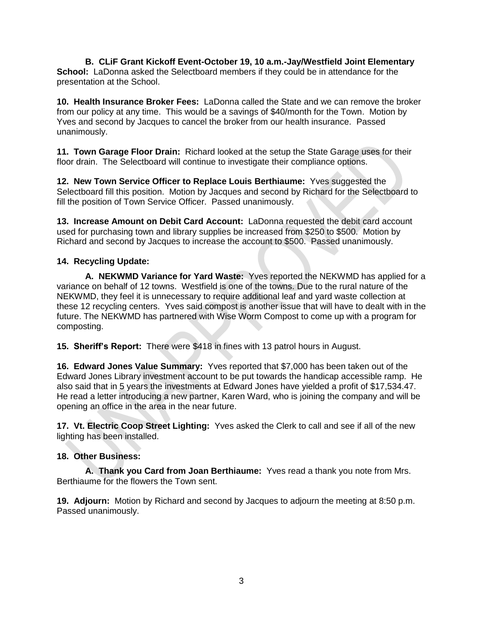**B. CLiF Grant Kickoff Event-October 19, 10 a.m.-Jay/Westfield Joint Elementary School:** LaDonna asked the Selectboard members if they could be in attendance for the presentation at the School.

**10. Health Insurance Broker Fees:** LaDonna called the State and we can remove the broker from our policy at any time. This would be a savings of \$40/month for the Town. Motion by Yves and second by Jacques to cancel the broker from our health insurance. Passed unanimously.

**11. Town Garage Floor Drain:** Richard looked at the setup the State Garage uses for their floor drain. The Selectboard will continue to investigate their compliance options.

**12. New Town Service Officer to Replace Louis Berthiaume:** Yves suggested the Selectboard fill this position. Motion by Jacques and second by Richard for the Selectboard to fill the position of Town Service Officer. Passed unanimously.

**13. Increase Amount on Debit Card Account:** LaDonna requested the debit card account used for purchasing town and library supplies be increased from \$250 to \$500. Motion by Richard and second by Jacques to increase the account to \$500. Passed unanimously.

## **14. Recycling Update:**

**A. NEKWMD Variance for Yard Waste:** Yves reported the NEKWMD has applied for a variance on behalf of 12 towns. Westfield is one of the towns. Due to the rural nature of the NEKWMD, they feel it is unnecessary to require additional leaf and yard waste collection at these 12 recycling centers. Yves said compost is another issue that will have to dealt with in the future. The NEKWMD has partnered with Wise Worm Compost to come up with a program for composting.

**15. Sheriff's Report:** There were \$418 in fines with 13 patrol hours in August.

**16. Edward Jones Value Summary:** Yves reported that \$7,000 has been taken out of the Edward Jones Library investment account to be put towards the handicap accessible ramp. He also said that in 5 years the investments at Edward Jones have yielded a profit of \$17,534.47. He read a letter introducing a new partner, Karen Ward, who is joining the company and will be opening an office in the area in the near future.

**17. Vt. Electric Coop Street Lighting:** Yves asked the Clerk to call and see if all of the new lighting has been installed.

#### **18. Other Business:**

**A. Thank you Card from Joan Berthiaume:** Yves read a thank you note from Mrs. Berthiaume for the flowers the Town sent.

**19. Adjourn:** Motion by Richard and second by Jacques to adjourn the meeting at 8:50 p.m. Passed unanimously.